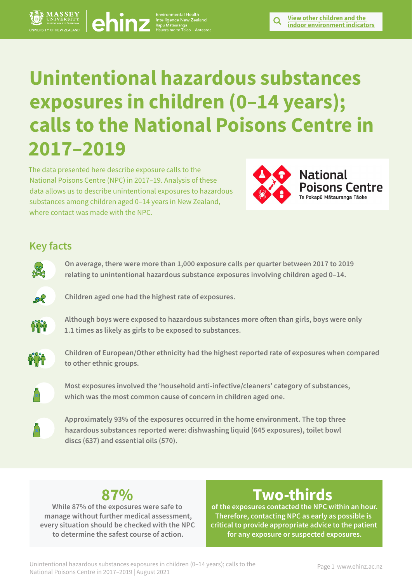# **Unintentional hazardous substances exposures in children (0–14 years); calls to the National Poisons Centre in 2017–2019 Philips of the Branch Centre in 2017–2019**<br> **Calls to the National Poisons Centre in**<br>
2017–2019 <br>
The dispresentation decrease of the Mational Poisons Centre in 2017–2019<br>
The dispresentation decrease of the matigraphy

The data presented here describe exposure calls to the National Poisons Centre (NPC) in 2017–19. Analysis of these data allows us to describe unintentional exposures to hazardous substances among children aged 0–14 years in New Zealand, where contact was made with the NPC.



**indoor environment indicators**

# **Key facts**



**On average, there were more than 1,000 exposure calls per quarter between 2017 to 2019 relating to unintentional hazardous substance exposures involving children aged 0–14.** 



**Children aged one had the highest rate of exposures.**



**Although boys were exposed to hazardous substances more often than girls, boys were only 1.1 times as likely as girls to be exposed to substances.** 



**Children of European/Other ethnicity had the highest reported rate of exposures when compared to other ethnic groups.**



**Most exposures involved the 'household anti-infective/cleaners' category of substances, which was the most common cause of concern in children aged one.**





**While 87% of the exposures were safe to manage without further medical assessment, every situation should be checked with the NPC to determine the safest course of action.** 

# **Two-thirds**

**of the exposures contacted the NPC within an hour. Therefore, contacting NPC as early as possible is critical to provide appropriate advice to the patient for any exposure or suspected exposures.**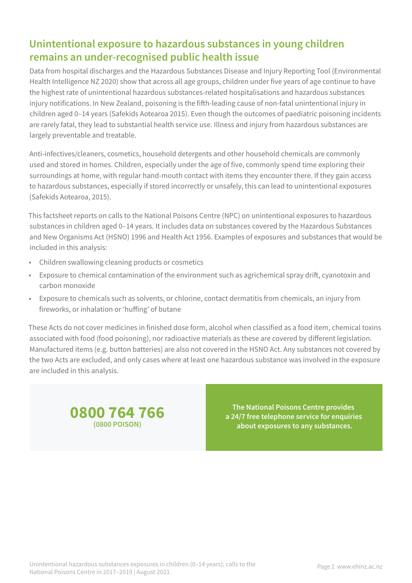# **Unintentional exposure to hazardous substances in young children remains an under-recognised public health issue**

Data from hospital discharges and the Hazardous Substances Disease and Injury Reporting Tool (Environmental Health Intelligence NZ 2020) show that across all age groups, children under five years of age continue to have the highest rate of unintentional hazardous substances-related hospitalisations and hazardous substances injury notifications. In New Zealand, poisoning is the fifth-leading cause of non-fatal unintentional injury in children aged 0–14 years (Safekids Aotearoa 2015). Even though the outcomes of paediatric poisoning incidents are rarely fatal, they lead to substantial health service use. Illness and injury from hazardous substances are largely preventable and treatable.

Anti-infectives/cleaners, cosmetics, household detergents and other household chemicals are commonly used and stored in homes. Children, especially under the age of five, commonly spend time exploring their surroundings at home, with regular hand-mouth contact with items they encounter there. If they gain access to hazardous substances, especially if stored incorrectly or unsafely, this can lead to unintentional exposures (Safekids Aotearoa, 2015).

This factsheet reports on calls to the National Poisons Centre (NPC) on unintentional exposures to hazardous substances in children aged 0–14 years. It includes data on substances covered by the Hazardous Substances and New Organisms Act (HSNO) 1996 and Health Act 1956. Examples of exposures and substances that would be included in this analysis:

- Children swallowing cleaning products or cosmetics
- Exposure to chemical contamination of the environment such as agrichemical spray drift, cyanotoxin and carbon monoxide
- Exposure to chemicals such as solvents, or chlorine, contact dermatitis from chemicals, an injury from fireworks, or inhalation or 'huffing' of butane

These Acts do not cover medicines in finished dose form, alcohol when classified as a food item, chemical toxins associated with food (food poisoning), nor radioactive materials as these are covered by different legislation. Manufactured items (e.g. button batteries) are also not covered in the HSNO Act. Any substances not covered by the two Acts are excluded, and only cases where at least one hazardous substance was involved in the exposure are included in this analysis.



**The National Poisons Centre provides a 24/7 free telephone service for enquiries about exposures to any substances.**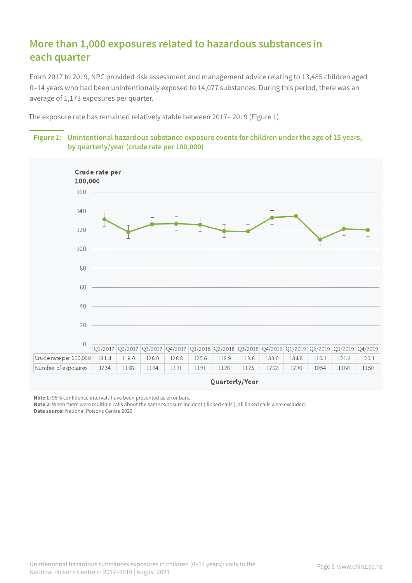# **More than 1,000 exposures related to hazardous substances in each quarter**

From 2017 to 2019, NPC provided risk assessment and management advice relating to 13,485 children aged 0–14 years who had been unintentionally exposed to 14,077 substances. During this period, there was an average of 1,173 exposures per quarter.

The exposure rate has remained relatively stable between 2017– 2019 (Figure 1).

### **Figure 1: Unintentional hazardous substance exposure events for children under the age of 15 years, by quarterly/year (crude rate per 100,000)**



**Note 1:** 95% confidence intervals have been presented as error bars.

**Note 2:** When there were multiple calls about the same exposure incident ('linked calls'), all linked calls were excluded.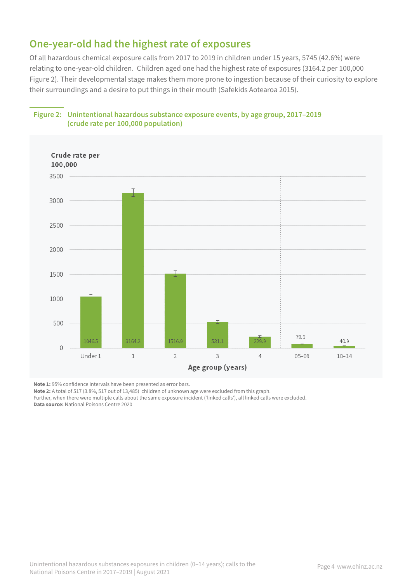# **One-year-old had the highest rate of exposures**

Of all hazardous chemical exposure calls from 2017 to 2019 in children under 15 years, 5745 (42.6%) were relating to one-year-old children. Children aged one had the highest rate of exposures (3164.2 per 100,000 Figure 2). Their developmental stage makes them more prone to ingestion because of their curiosity to explore their surroundings and a desire to put things in their mouth (Safekids Aotearoa 2015).



### **Figure 2: Unintentional hazardous substance exposure events, by age group, 2017–2019 (crude rate per 100,000 population)**

**Note 1:** 95% confidence intervals have been presented as error bars.

**Note 2:** A total of 517 (3.8%, 517 out of 13,485) children of unknown age were excluded from this graph.

Further, when there were multiple calls about the same exposure incident ('linked calls'), all linked calls were excluded. **Data source:** National Poisons Centre 2020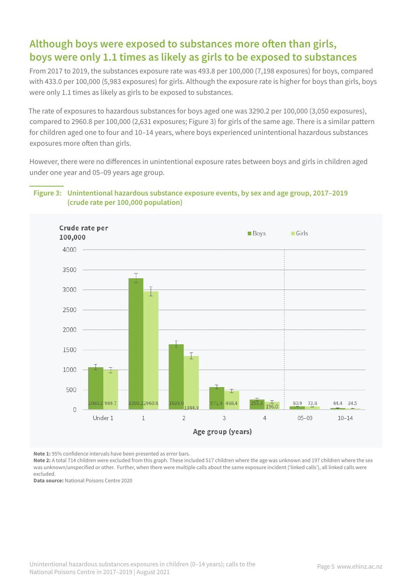# **Although boys were exposed to substances more often than girls, boys were only 1.1 times as likely as girls to be exposed to substances**

From 2017 to 2019, the substances exposure rate was 493.8 per 100,000 (7,198 exposures) for boys, compared with 433.0 per 100,000 (5,983 exposures) for girls. Although the exposure rate is higher for boys than girls, boys were only 1.1 times as likely as girls to be exposed to substances.

The rate of exposures to hazardous substances for boys aged one was 3290.2 per 100,000 (3,050 exposures), compared to 2960.8 per 100,000 (2,631 exposures; Figure 3) for girls of the same age. There is a similar pattern for children aged one to four and 10–14 years, where boys experienced unintentional hazardous substances exposures more often than girls.

However, there were no differences in unintentional exposure rates between boys and girls in children aged under one year and 05–09 years age group.

### **Figure 3: Unintentional hazardous substance exposure events, by sex and age group, 2017–2019 (crude rate per 100,000 population)**



**Note 1:** 95% confidence intervals have been presented as error bars.

Note 2: A total 714 children were excluded from this graph. These included 517 children where the age was unknown and 197 children where the sex was unknown/unspecified or other. Further, when there were multiple calls about the same exposure incident ('linked calls'), all linked calls were excluded.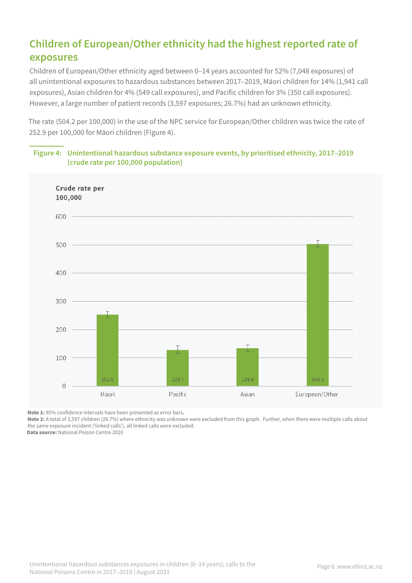# **Children of European/Other ethnicity had the highest reported rate of exposures**

Children of European/Other ethnicity aged between 0–14 years accounted for 52% (7,048 exposures) of all unintentional exposures to hazardous substances between 2017–2019, Māori children for 14% (1,941 call exposures), Asian children for 4% (549 call exposures), and Pacific children for 3% (350 call exposures). However, a large number of patient records (3,597 exposures; 26.7%) had an unknown ethnicity.

The rate (504.2 per 100,000) in the use of the NPC service for European/Other children was twice the rate of 252.9 per 100,000 for Māori children (Figure 4).



### **Figure 4: Unintentional hazardous substance exposure events, by prioritised ethnicity, 2017–2019 (crude rate per 100,000 population)**

**Note 1:** 95% confidence intervals have been presented as error bars**.** 

**Note 2:** A total of 3,597 children (26.7%) where ethnicity was unknown were excluded from this graph. Further, when there were multiple calls about the same exposure incident ('linked calls'), all linked calls were excluded.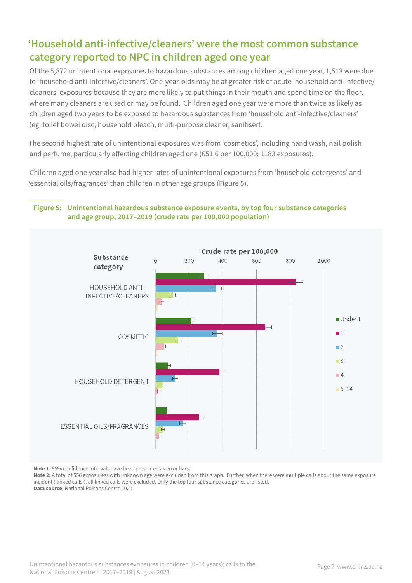# **'Household anti-infective/cleaners' were the most common substance category reported to NPC in children aged one year**

Of the 5,872 unintentional exposures to hazardous substances among children aged one year, 1,513 were due to 'household anti-infective/cleaners'. One-year-olds may be at greater risk of acute 'household anti-infective/ cleaners' exposures because they are more likely to put things in their mouth and spend time on the floor, where many cleaners are used or may be found. Children aged one year were more than twice as likely as children aged two years to be exposed to hazardous substances from 'household anti-infective/cleaners' (eg, toilet bowel disc, household bleach, multi-purpose cleaner, sanitiser).

The second highest rate of unintentional exposures was from 'cosmetics', including hand wash, nail polish and perfume, particularly affecting children aged one (651.6 per 100,000; 1183 exposures).

Children aged one year also had higher rates of unintentional exposures from 'household detergents' and 'essential oils/fragrances' than children in other age groups (Figure 5).

### **Figure 5: Unintentional hazardous substance exposure events, by top four substance categories and age group, 2017–2019 (crude rate per 100,000 population)**



**Note 1:** 95% confidence intervals have been presented as error bars**.**

Note 2: A total of 556 exposuress with unknown age were excluded from this graph. Further, when there were multiple calls about the same exposure incident ('linked calls'), all linked calls were excluded. Only the top four substance categories are listed. **Data source:** National Poisons Centre 2020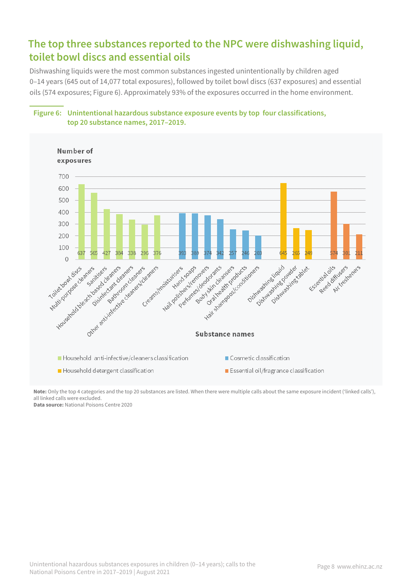# **The top three substances reported to the NPC were dishwashing liquid, toilet bowl discs and essential oils**

Dishwashing liquids were the most common substances ingested unintentionally by children aged 0–14 years (645 out of 14,077 total exposures), followed by toilet bowl discs (637 exposures) and essential oils (574 exposures; Figure 6). Approximately 93% of the exposures occurred in the home environment.



### **Figure 6: Unintentional hazardous substance exposure events by top four classifications, top 20 substance names, 2017–2019.**

**Note:** Only the top 4 categories and the top 20 substances are listed. When there were multiple calls about the same exposure incident ('linked calls'), all linked calls were excluded.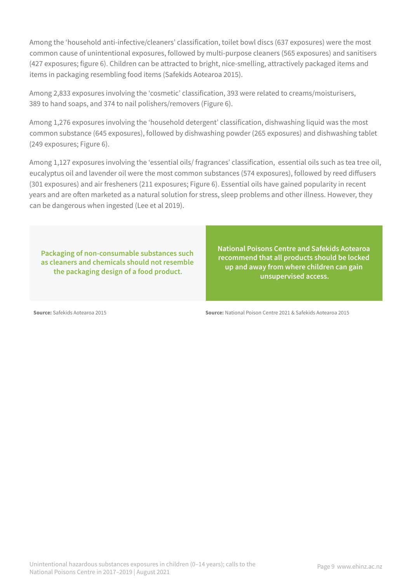Among the 'household anti-infective/cleaners' classification, toilet bowl discs (637 exposures) were the most common cause of unintentional exposures, followed by multi-purpose cleaners (565 exposures) and sanitisers (427 exposures; figure 6). Children can be attracted to bright, nice-smelling, attractively packaged items and items in packaging resembling food items (Safekids Aotearoa 2015).

Among 2,833 exposures involving the 'cosmetic' classification, 393 were related to creams/moisturisers, 389 to hand soaps, and 374 to nail polishers/removers (Figure 6).

Among 1,276 exposures involving the 'household detergent' classification, dishwashing liquid was the most common substance (645 exposures), followed by dishwashing powder (265 exposures) and dishwashing tablet (249 exposures; Figure 6).

Among 1,127 exposures involving the 'essential oils/ fragrances' classification, essential oils such as tea tree oil, eucalyptus oil and lavender oil were the most common substances (574 exposures), followed by reed diffusers (301 exposures) and air fresheners (211 exposures; Figure 6). Essential oils have gained popularity in recent years and are often marketed as a natural solution for stress, sleep problems and other illness. However, they can be dangerous when ingested (Lee et al 2019).

**Packaging of non-consumable substances such as cleaners and chemicals should not resemble the packaging design of a food product.** 

**National Poisons Centre and Safekids Aotearoa recommend that all products should be locked up and away from where children can gain unsupervised access.** 

**Source:** Safekids Aotearoa 2015 **Source:** National Poison Centre 2021 & Safekids Aotearoa 2015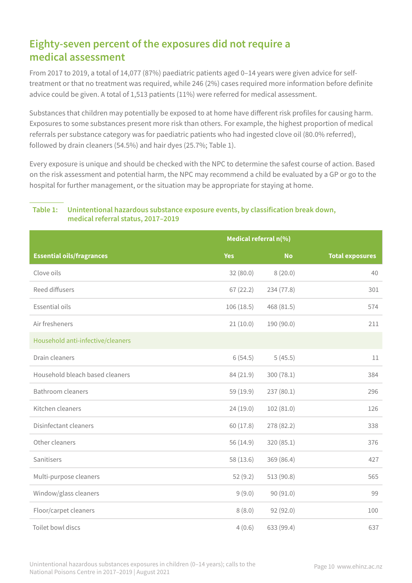# **Eighty-seven percent of the exposures did not require a medical assessment**

From 2017 to 2019, a total of 14,077 (87%) paediatric patients aged 0–14 years were given advice for selftreatment or that no treatment was required, while 246 (2%) cases required more information before definite advice could be given. A total of 1,513 patients (11%) were referred for medical assessment.

Substances that children may potentially be exposed to at home have different risk profiles for causing harm. Exposures to some substances present more risk than others. For example, the highest proportion of medical referrals per substance category was for paediatric patients who had ingested clove oil (80.0% referred), followed by drain cleaners (54.5%) and hair dyes (25.7%; Table 1).

Every exposure is unique and should be checked with the NPC to determine the safest course of action. Based on the risk assessment and potential harm, the NPC may recommend a child be evaluated by a GP or go to the hospital for further management, or the situation may be appropriate for staying at home.

### **Table 1: Unintentional hazardous substance exposure events, by classification break down, medical referral status, 2017–2019**

|                                   | Medical referral n(%) |            |                        |
|-----------------------------------|-----------------------|------------|------------------------|
| <b>Essential oils/fragrances</b>  | <b>Yes</b>            | <b>No</b>  | <b>Total exposures</b> |
| Clove oils                        | 32(80.0)              | 8(20.0)    | 40                     |
| Reed diffusers                    | 67(22.2)              | 234 (77.8) | 301                    |
| Essential oils                    | 106(18.5)             | 468 (81.5) | 574                    |
| Air fresheners                    | 21(10.0)              | 190 (90.0) | 211                    |
| Household anti-infective/cleaners |                       |            |                        |
| Drain cleaners                    | 6(54.5)               | 5(45.5)    | 11                     |
| Household bleach based cleaners   | 84 (21.9)             | 300(78.1)  | 384                    |
| <b>Bathroom cleaners</b>          | 59 (19.9)             | 237(80.1)  | 296                    |
| Kitchen cleaners                  | 24(19.0)              | 102 (81.0) | 126                    |
| Disinfectant cleaners             | 60(17.8)              | 278 (82.2) | 338                    |
| Other cleaners                    | 56 (14.9)             | 320(85.1)  | 376                    |
| Sanitisers                        | 58 (13.6)             | 369 (86.4) | 427                    |
| Multi-purpose cleaners            | 52(9.2)               | 513 (90.8) | 565                    |
| Window/glass cleaners             | 9(9.0)                | 90 (91.0)  | 99                     |
| Floor/carpet cleaners             | 8(8.0)                | 92(92.0)   | 100                    |
| Toilet bowl discs                 | 4(0.6)                | 633 (99.4) | 637                    |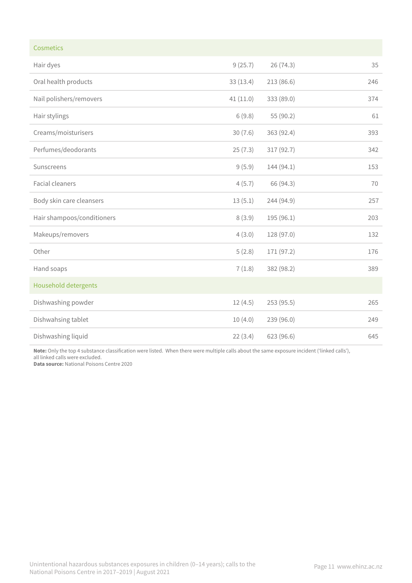| Cosmetics                   |          |            |     |
|-----------------------------|----------|------------|-----|
| Hair dyes                   | 9(25.7)  | 26 (74.3)  | 35  |
| Oral health products        | 33(13.4) | 213(86.6)  | 246 |
| Nail polishers/removers     | 41(11.0) | 333 (89.0) | 374 |
| Hair stylings               | 6(9.8)   | 55 (90.2)  | 61  |
| Creams/moisturisers         | 30(7.6)  | 363 (92.4) | 393 |
| Perfumes/deodorants         | 25(7.3)  | 317 (92.7) | 342 |
| Sunscreens                  | 9(5.9)   | 144 (94.1) | 153 |
| <b>Facial cleaners</b>      | 4(5.7)   | 66 (94.3)  | 70  |
| Body skin care cleansers    | 13(5.1)  | 244 (94.9) | 257 |
| Hair shampoos/conditioners  | 8(3.9)   | 195 (96.1) | 203 |
| Makeups/removers            | 4(3.0)   | 128 (97.0) | 132 |
| Other                       | 5(2.8)   | 171 (97.2) | 176 |
| Hand soaps                  | 7(1.8)   | 382 (98.2) | 389 |
| <b>Household detergents</b> |          |            |     |
| Dishwashing powder          | 12(4.5)  | 253(95.5)  | 265 |
| Dishwahsing tablet          | 10(4.0)  | 239 (96.0) | 249 |
| Dishwashing liquid          | 22(3.4)  | 623 (96.6) | 645 |

**Note:** Only the top 4 substance classification were listed. When there were multiple calls about the same exposure incident ('linked calls'), all linked calls were excluded.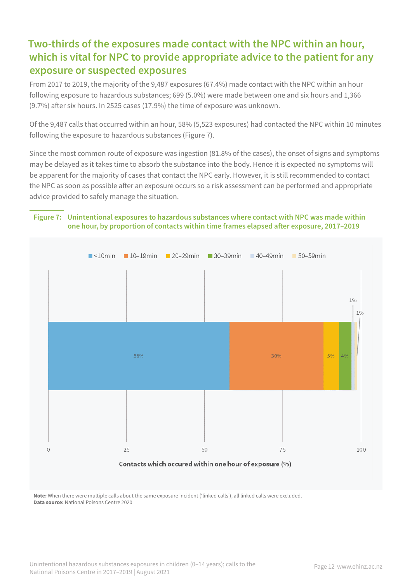# **Two-thirds of the exposures made contact with the NPC within an hour, which is vital for NPC to provide appropriate advice to the patient for any exposure or suspected exposures**

From 2017 to 2019, the majority of the 9,487 exposures (67.4%) made contact with the NPC within an hour following exposure to hazardous substances; 699 (5.0%) were made between one and six hours and 1,366 (9.7%) after six hours. In 2525 cases (17.9%) the time of exposure was unknown.

Of the 9,487 calls that occurred within an hour, 58% (5,523 exposures) had contacted the NPC within 10 minutes following the exposure to hazardous substances (Figure 7).

Since the most common route of exposure was ingestion (81.8% of the cases), the onset of signs and symptoms may be delayed as it takes time to absorb the substance into the body. Hence it is expected no symptoms will be apparent for the majority of cases that contact the NPC early. However, it is still recommended to contact the NPC as soon as possible after an exposure occurs so a risk assessment can be performed and appropriate advice provided to safely manage the situation.

### **Figure 7: Unintentional exposures to hazardous substances where contact with NPC was made within one hour, by proportion of contacts within time frames elapsed after exposure, 2017–2019**



**Note:** When there were multiple calls about the same exposure incident ('linked calls'), all linked calls were excluded. **Data source:** National Poisons Centre 2020